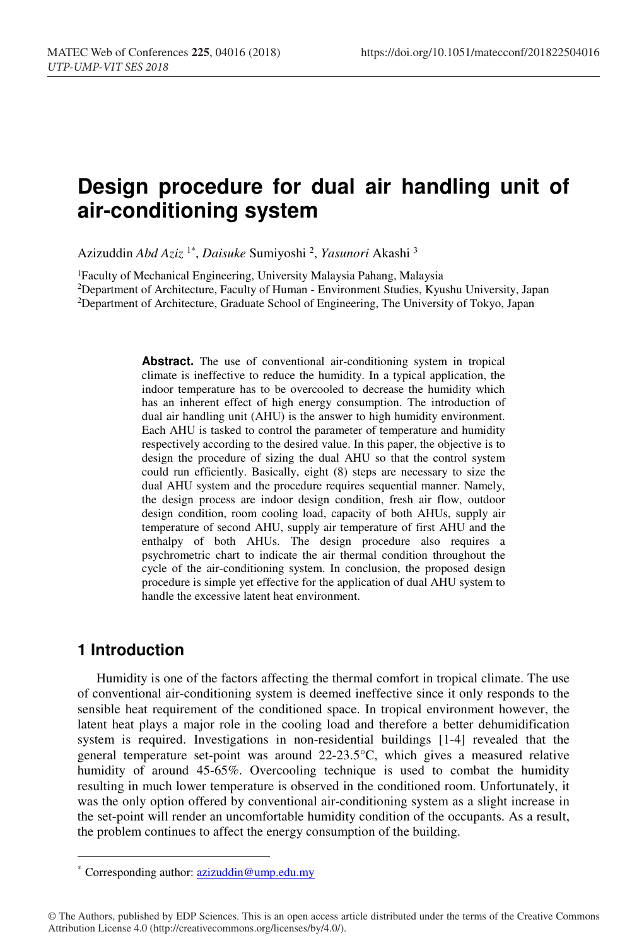# **Design procedure for dual air handling unit of air-conditioning system**

Azizuddin *Abd Aziz* 1\*, *Daisuke* Sumiyoshi <sup>2</sup> , *Yasunori* Akashi <sup>3</sup>

<sup>1</sup>Faculty of Mechanical Engineering, University Malaysia Pahang, Malaysia<br><sup>2</sup>Department of Architecture, Faculty of Human - Environment Studies, Kyushu University, Japan<br><sup>2</sup>Department of Architecture, Graduate School of E

Abstract. The use of conventional air-conditioning system in tropical climate is ineffective to reduce the humidity. In a typical application, the indoor temperature has to be overcooled to decrease the humidity which has an inherent effect of high energy consumption. The introduction of dual air handling unit (AHU) is the answer to high humidity environment. Each AHU is tasked to control the parameter of temperature and humidity respectively according to the desired value. In this paper, the objective is to design the procedure of sizing the dual AHU so that the control system could run efficiently. Basically, eight (8) steps are necessary to size the dual AHU system and the procedure requires sequential manner. Namely, the design process are indoor design condition, fresh air flow, outdoor design condition, room cooling load, capacity of both AHUs, supply air temperature of second AHU, supply air temperature of first AHU and the enthalpy of both AHUs. The design procedure also requires a psychrometric chart to indicate the air thermal condition throughout the cycle of the air-conditioning system. In conclusion, the proposed design procedure is simple yet effective for the application of dual AHU system to handle the excessive latent heat environment.

#### **1 Introduction**

-

Humidity is one of the factors affecting the thermal comfort in tropical climate. The use of conventional air-conditioning system is deemed ineffective since it only responds to the sensible heat requirement of the conditioned space. In tropical environment however, the latent heat plays a major role in the cooling load and therefore a better dehumidification system is required. Investigations in non-residential buildings [1-4] revealed that the general temperature set-point was around 22-23.5°C, which gives a measured relative humidity of around 45-65%. Overcooling technique is used to combat the humidity resulting in much lower temperature is observed in the conditioned room. Unfortunately, it was the only option offered by conventional air-conditioning system as a slight increase in the set-point will render an uncomfortable humidity condition of the occupants. As a result, the problem continues to affect the energy consumption of the building.

<sup>\*</sup> Corresponding author: azizuddin@ump.edu.my

<sup>©</sup> The Authors, published by EDP Sciences. This is an open access article distributed under the terms of the Creative Commons Attribution License 4.0 (http://creativecommons.org/licenses/by/4.0/).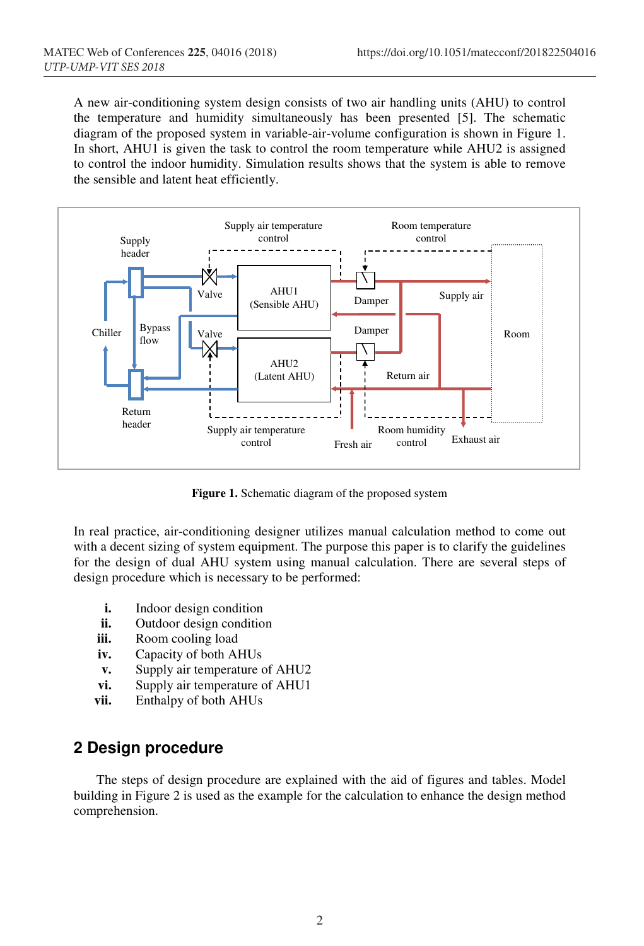A new air-conditioning system design consists of two air handling units (AHU) to control the temperature and humidity simultaneously has been presented [5]. The schematic diagram of the proposed system in variable-air-volume configuration is shown in Figure 1. In short, AHU1 is given the task to control the room temperature while AHU2 is assigned to control the indoor humidity. Simulation results shows that the system is able to remove the sensible and latent heat efficiently.



**Figure 1.** Schematic diagram of the proposed system

In real practice, air-conditioning designer utilizes manual calculation method to come out with a decent sizing of system equipment. The purpose this paper is to clarify the guidelines for the design of dual AHU system using manual calculation. There are several steps of design procedure which is necessary to be performed:

- **i.** Indoor design condition
- **ii.** Outdoor design condition
- **iii.** Room cooling load
- **iv.** Capacity of both AHUs
- **v.** Supply air temperature of AHU2
- **vi.** Supply air temperature of AHU1
- **vii.** Enthalpy of both AHUs

## **2 Design procedure**

 The steps of design procedure are explained with the aid of figures and tables. Model building in Figure 2 is used as the example for the calculation to enhance the design method comprehension.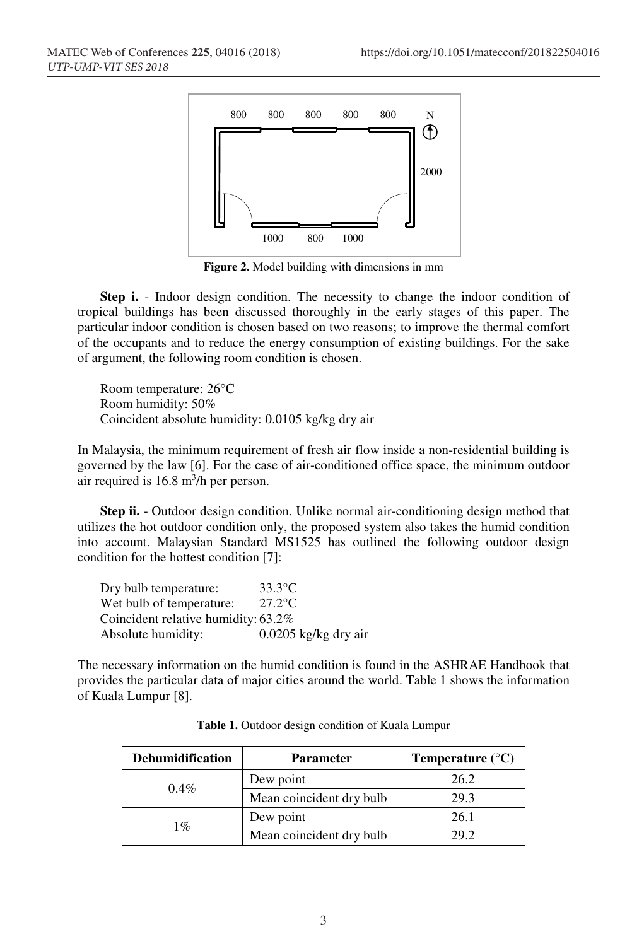

**Figure 2.** Model building with dimensions in mm

**Step i.** - Indoor design condition. The necessity to change the indoor condition of tropical buildings has been discussed thoroughly in the early stages of this paper. The particular indoor condition is chosen based on two reasons; to improve the thermal comfort of the occupants and to reduce the energy consumption of existing buildings. For the sake of argument, the following room condition is chosen.

 Room temperature: 26°C Room humidity: 50% Coincident absolute humidity: 0.0105 kg/kg dry air

In Malaysia, the minimum requirement of fresh air flow inside a non-residential building is governed by the law [6]. For the case of air-conditioned office space, the minimum outdoor air required is  $16.8 \text{ m}^3/\text{h}$  per person.

**Step ii.** - Outdoor design condition. Unlike normal air-conditioning design method that utilizes the hot outdoor condition only, the proposed system also takes the humid condition into account. Malaysian Standard MS1525 has outlined the following outdoor design condition for the hottest condition [7]:

| Dry bulb temperature:               | $33.3^{\circ}$ C       |
|-------------------------------------|------------------------|
| Wet bulb of temperature:            | $27.2$ °C              |
| Coincident relative humidity: 63.2% |                        |
| Absolute humidity:                  | $0.0205$ kg/kg dry air |

The necessary information on the humid condition is found in the ASHRAE Handbook that provides the particular data of major cities around the world. Table 1 shows the information of Kuala Lumpur [8].

| <b>Dehumidification</b> | <b>Parameter</b>         | Temperature $(^{\circ}C)$ |
|-------------------------|--------------------------|---------------------------|
| $0.4\%$                 | Dew point                | 26.2                      |
|                         | Mean coincident dry bulb | 29.3                      |
| $1\%$                   | Dew point                | 26.1                      |
|                         | Mean coincident dry bulb | 29.2                      |

**Table 1.** Outdoor design condition of Kuala Lumpur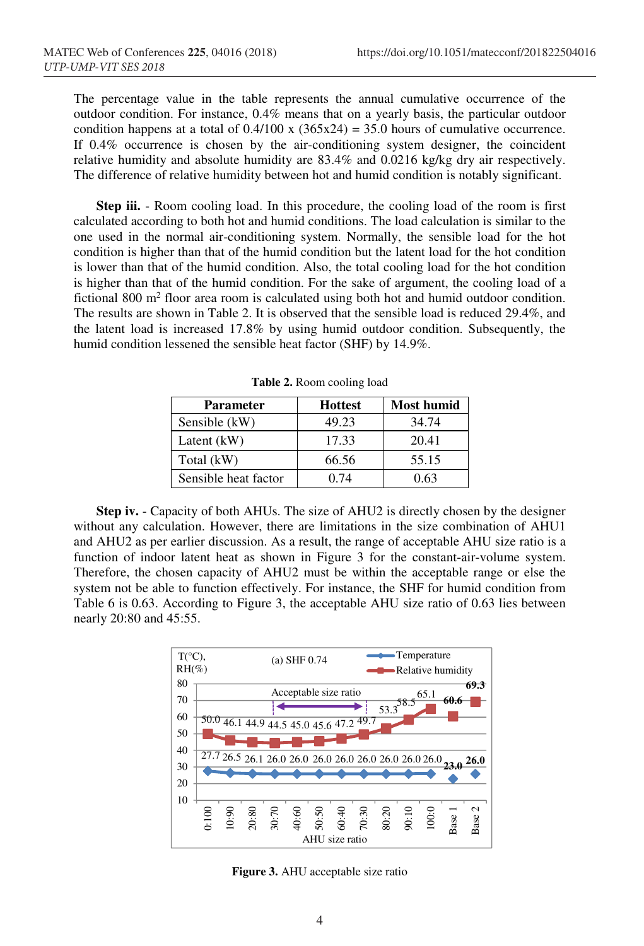The percentage value in the table represents the annual cumulative occurrence of the outdoor condition. For instance, 0.4% means that on a yearly basis, the particular outdoor condition happens at a total of  $0.4/100 \times (365 \times 24) = 35.0$  hours of cumulative occurrence. If 0.4% occurrence is chosen by the air-conditioning system designer, the coincident relative humidity and absolute humidity are 83.4% and 0.0216 kg/kg dry air respectively. The difference of relative humidity between hot and humid condition is notably significant.

**Step iii.** - Room cooling load. In this procedure, the cooling load of the room is first calculated according to both hot and humid conditions. The load calculation is similar to the one used in the normal air-conditioning system. Normally, the sensible load for the hot condition is higher than that of the humid condition but the latent load for the hot condition is lower than that of the humid condition. Also, the total cooling load for the hot condition is higher than that of the humid condition. For the sake of argument, the cooling load of a fictional 800 m<sup>2</sup> floor area room is calculated using both hot and humid outdoor condition. The results are shown in Table 2. It is observed that the sensible load is reduced 29.4%, and the latent load is increased 17.8% by using humid outdoor condition. Subsequently, the humid condition lessened the sensible heat factor (SHF) by 14.9%.

| <b>Parameter</b>     | <b>Hottest</b> | <b>Most humid</b> |
|----------------------|----------------|-------------------|
| Sensible (kW)        | 49.23          | 34.74             |
| Latent $(kW)$        | 17.33          | 20.41             |
| Total (kW)           | 66.56          | 55.15             |
| Sensible heat factor | 0.74           | 0.63              |

**Table 2.** Room cooling load

 **Step iv.** - Capacity of both AHUs. The size of AHU2 is directly chosen by the designer without any calculation. However, there are limitations in the size combination of AHU1 and AHU2 as per earlier discussion. As a result, the range of acceptable AHU size ratio is a function of indoor latent heat as shown in Figure 3 for the constant-air-volume system. Therefore, the chosen capacity of AHU2 must be within the acceptable range or else the system not be able to function effectively. For instance, the SHF for humid condition from Table 6 is 0.63. According to Figure 3, the acceptable AHU size ratio of 0.63 lies between nearly 20:80 and 45:55.



**Figure 3.** AHU acceptable size ratio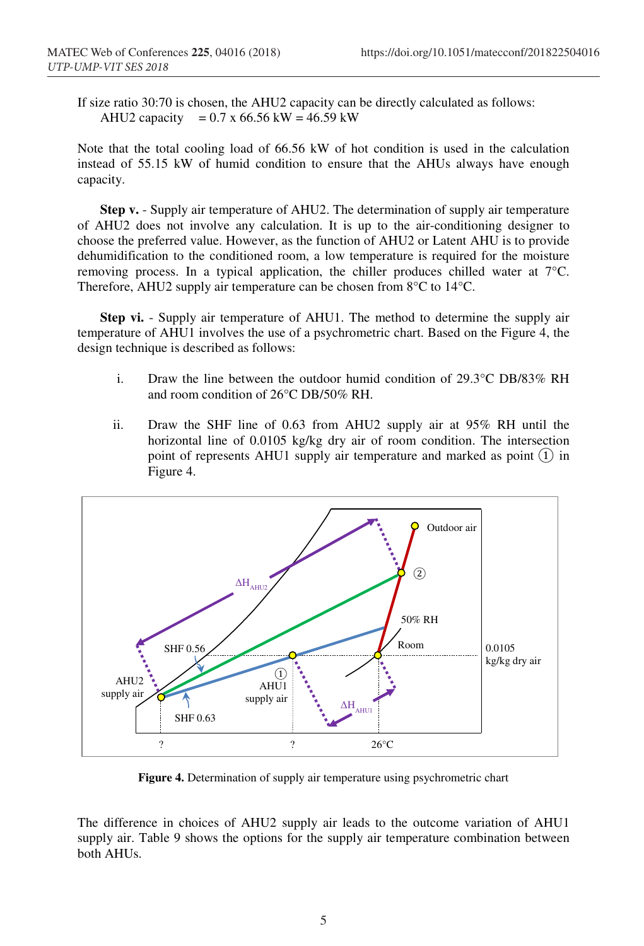If size ratio 30:70 is chosen, the AHU2 capacity can be directly calculated as follows: AHU2 capacity =  $0.7 \times 66.56 \text{ kW} = 46.59 \text{ kW}$ 

Note that the total cooling load of 66.56 kW of hot condition is used in the calculation instead of 55.15 kW of humid condition to ensure that the AHUs always have enough capacity.

**Step v.** - Supply air temperature of AHU2. The determination of supply air temperature of AHU2 does not involve any calculation. It is up to the air-conditioning designer to choose the preferred value. However, as the function of AHU2 or Latent AHU is to provide dehumidification to the conditioned room, a low temperature is required for the moisture removing process. In a typical application, the chiller produces chilled water at 7°C. Therefore, AHU2 supply air temperature can be chosen from 8°C to 14°C.

**Step vi.** - Supply air temperature of AHU1. The method to determine the supply air temperature of AHU1 involves the use of a psychrometric chart. Based on the Figure 4, the design technique is described as follows:

- i. Draw the line between the outdoor humid condition of 29.3°C DB/83% RH and room condition of 26°C DB/50% RH.
- ii. Draw the SHF line of 0.63 from AHU2 supply air at 95% RH until the horizontal line of 0.0105 kg/kg dry air of room condition. The intersection point of represents AHU1 supply air temperature and marked as point  $(1)$  in Figure 4.



**Figure 4.** Determination of supply air temperature using psychrometric chart

The difference in choices of AHU2 supply air leads to the outcome variation of AHU1 supply air. Table 9 shows the options for the supply air temperature combination between both AHUs.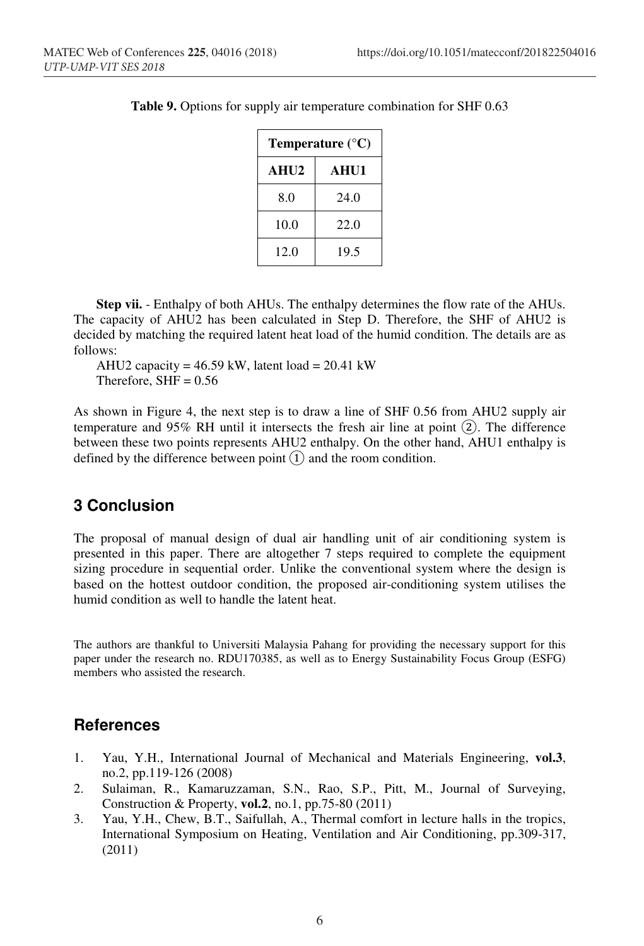| Temperature $(^{\circ}C)$ |             |  |
|---------------------------|-------------|--|
| AHU2                      | <b>AHU1</b> |  |
| 8.0                       | 24.0        |  |
| 10.0                      | 22.0        |  |
| 12.0                      | 19.5        |  |

**Table 9.** Options for supply air temperature combination for SHF 0.63

 **Step vii.** - Enthalpy of both AHUs. The enthalpy determines the flow rate of the AHUs. The capacity of AHU2 has been calculated in Step D. Therefore, the SHF of AHU2 is decided by matching the required latent heat load of the humid condition. The details are as follows:

AHU2 capacity =  $46.59$  kW, latent load =  $20.41$  kW Therefore,  $SHF = 0.56$ 

As shown in Figure 4, the next step is to draw a line of SHF 0.56 from AHU2 supply air temperature and 95% RH until it intersects the fresh air line at point ②. The difference between these two points represents AHU2 enthalpy. On the other hand, AHU1 enthalpy is defined by the difference between point  $(1)$  and the room condition.

#### **3 Conclusion**

The proposal of manual design of dual air handling unit of air conditioning system is presented in this paper. There are altogether 7 steps required to complete the equipment sizing procedure in sequential order. Unlike the conventional system where the design is based on the hottest outdoor condition, the proposed air-conditioning system utilises the humid condition as well to handle the latent heat.

The authors are thankful to Universiti Malaysia Pahang for providing the necessary support for this paper under the research no. RDU170385, as well as to Energy Sustainability Focus Group (ESFG) members who assisted the research.

## **References**

- 1. Yau, Y.H., International Journal of Mechanical and Materials Engineering, **vol.3**, no.2, pp.119-126 (2008)
- 2. Sulaiman, R., Kamaruzzaman, S.N., Rao, S.P., Pitt, M., Journal of Surveying, Construction & Property, **vol.2**, no.1, pp.75-80 (2011)
- 3. Yau, Y.H., Chew, B.T., Saifullah, A., Thermal comfort in lecture halls in the tropics, International Symposium on Heating, Ventilation and Air Conditioning, pp.309-317, (2011)